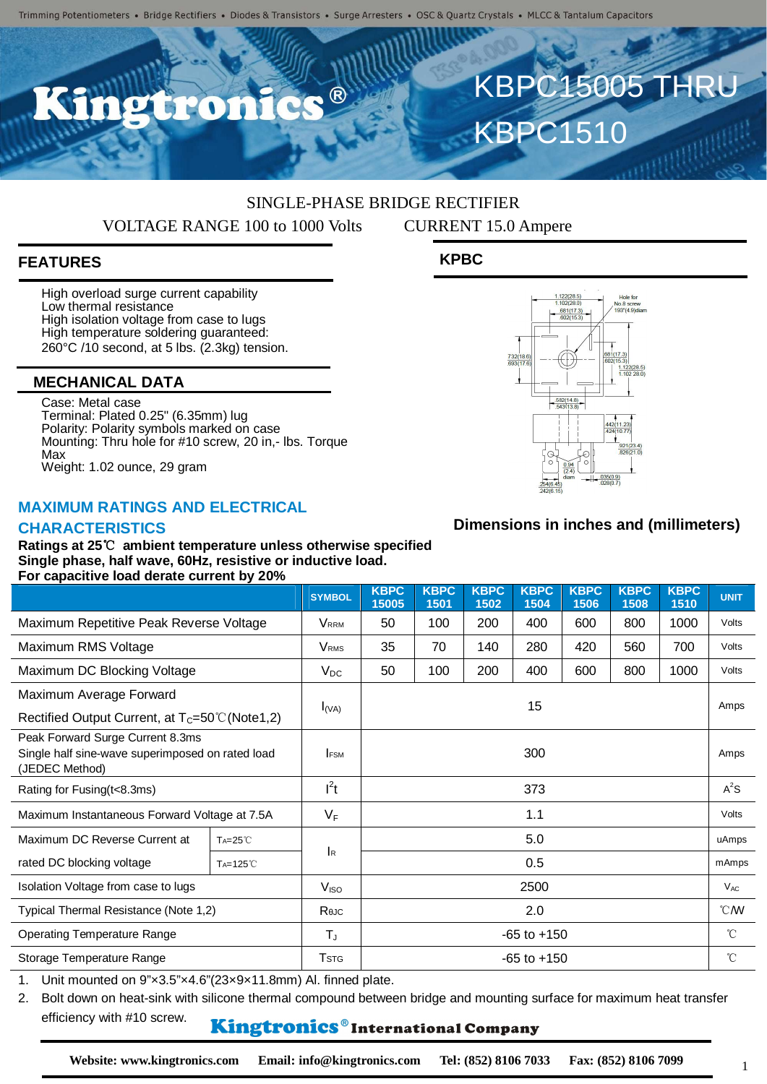$\blacksquare$ 

# SINGLE-PHASE BRIDGE RECTIFIER

VOLTAGE RANGE 100 to 1000 Volts CURRENT 15.0 Ampere

**KPBC**

# **FEATURES**

High overload surge current capability Low thermal resistance High isolation voltage from case to lugs High temperature soldering guaranteed: 260°C /10 second, at 5 lbs. (2.3kg) tension.

#### **MECHANICAL DATA**

Case: Metal case Terminal: Plated 0.25" (6.35mm) lug Polarity: Polarity symbols marked on case Mounting: Thru hole for #10 screw, 20 in,- lbs. Torque Max Weight: 1.02 ounce, 29 gram

#### **MAXIMUM RATINGS AND ELECTRICAL**

#### **CHARACTERISTICS**

**Ratings at 25**℃ **ambient temperature unless otherwise specified Single phase, half wave, 60Hz, resistive or inductive load. For capacitive load derate current by 20%**

|                                                                                                        |                      | <b>SYMBOL</b>           | <b>KBPC</b><br>15005 | <b>KBPC</b><br>1501 | <b>KBPC</b><br>1502 | <b>KBPC</b><br>1504 | <b>KBPC</b><br>1506 | <b>KBPC</b><br>1508 | <b>KBPC</b><br>1510 | <b>UNIT</b>    |
|--------------------------------------------------------------------------------------------------------|----------------------|-------------------------|----------------------|---------------------|---------------------|---------------------|---------------------|---------------------|---------------------|----------------|
| Maximum Repetitive Peak Reverse Voltage                                                                |                      | <b>V</b> <sub>RRM</sub> | 50                   | 100                 | 200                 | 400                 | 600                 | 800                 | 1000                | Volts          |
| Maximum RMS Voltage                                                                                    |                      | <b>V</b> <sub>RMS</sub> | 35                   | 70                  | 140                 | 280                 | 420                 | 560                 | 700                 | Volts          |
| Maximum DC Blocking Voltage                                                                            |                      | $V_{DC}$                | 50                   | 100                 | 200                 | 400                 | 600                 | 800                 | 1000                | Volts          |
| Maximum Average Forward                                                                                |                      | $I_{(VA)}$              | 15                   |                     |                     |                     |                     |                     |                     | Amps           |
| Rectified Output Current, at $T_c = 50^{\circ}$ C (Note 1, 2)                                          |                      |                         |                      |                     |                     |                     |                     |                     |                     |                |
| Peak Forward Surge Current 8.3ms<br>Single half sine-wave superimposed on rated load<br>(JEDEC Method) |                      | <b>IFSM</b>             | 300                  |                     |                     |                     |                     |                     |                     | Amps           |
| Rating for Fusing(t<8.3ms)                                                                             |                      | $l^2t$                  | 373                  |                     |                     |                     |                     |                     |                     | $A^2S$         |
| Maximum Instantaneous Forward Voltage at 7.5A                                                          |                      | $V_F$                   | 1.1                  |                     |                     |                     |                     |                     |                     | Volts          |
| Maximum DC Reverse Current at                                                                          | TA=25°C              |                         | 5.0                  |                     |                     |                     |                     |                     |                     | uAmps          |
| rated DC blocking voltage                                                                              | T <sub>A</sub> =125℃ | <b>I</b> R              | 0.5                  |                     |                     |                     |                     |                     |                     | mAmps          |
| Isolation Voltage from case to lugs                                                                    |                      | V <sub>ISO</sub>        | 2500                 |                     |                     |                     |                     |                     |                     | $V_{AC}$       |
| Typical Thermal Resistance (Note 1,2)                                                                  |                      | Reuc                    | 2.0                  |                     |                     |                     |                     |                     |                     | $^{\circ}$ CMV |
| <b>Operating Temperature Range</b>                                                                     |                      | $T_{\rm J}$             | $-65$ to $+150$      |                     |                     |                     |                     |                     |                     | $^{\circ}$ C   |
| Storage Temperature Range                                                                              |                      | <b>T</b> stg            | $-65$ to $+150$      |                     |                     |                     |                     |                     |                     | $^{\circ}$ C   |

1. Unit mounted on 9"×3.5"×4.6"(23×9×11.8mm) Al. finned plate.

2. Bolt down on heat-sink with silicone thermal compound between bridge and mounting surface for maximum heat transfer efficiency with #10 screw.

## Kingtronics®International Company

**Website: www.kingtronics.com Email: info@kingtronics.com Tel: (852) 8106 7033 Fax: (852) 8106 7099**

# **Dimensions in inches and (millimeters)**



KBPC15005 THRU

**KBPC1510** 

1